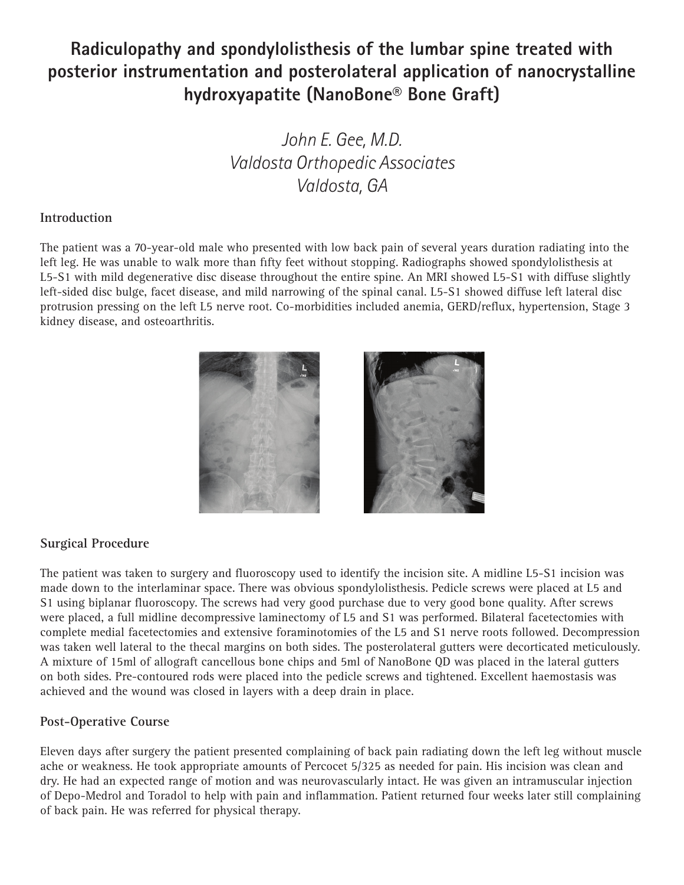## **Radiculopathy and spondylolisthesis of the lumbar spine treated with posterior instrumentation and posterolateral application of nanocrystalline hydroxyapatite (NanoBone® Bone Graft)**

*John E. Gee, M.D. Valdosta Orthopedic Associates Valdosta, GA*

## **Introduction**

The patient was a 70-year-old male who presented with low back pain of several years duration radiating into the left leg. He was unable to walk more than fifty feet without stopping. Radiographs showed spondylolisthesis at L5-S1 with mild degenerative disc disease throughout the entire spine. An MRI showed L5-S1 with diffuse slightly left-sided disc bulge, facet disease, and mild narrowing of the spinal canal. L5-S1 showed diffuse left lateral disc protrusion pressing on the left L5 nerve root. Co-morbidities included anemia, GERD/reflux, hypertension, Stage 3 kidney disease, and osteoarthritis.



## **Surgical Procedure**

The patient was taken to surgery and fluoroscopy used to identify the incision site. A midline L5-S1 incision was made down to the interlaminar space. There was obvious spondylolisthesis. Pedicle screws were placed at L5 and S1 using biplanar fluoroscopy. The screws had very good purchase due to very good bone quality. After screws were placed, a full midline decompressive laminectomy of L5 and S1 was performed. Bilateral facetectomies with complete medial facetectomies and extensive foraminotomies of the L5 and S1 nerve roots followed. Decompression was taken well lateral to the thecal margins on both sides. The posterolateral gutters were decorticated meticulously. A mixture of 15ml of allograft cancellous bone chips and 5ml of NanoBone QD was placed in the lateral gutters on both sides. Pre-contoured rods were placed into the pedicle screws and tightened. Excellent haemostasis was achieved and the wound was closed in layers with a deep drain in place.

## **Post-Operative Course**

Eleven days after surgery the patient presented complaining of back pain radiating down the left leg without muscle ache or weakness. He took appropriate amounts of Percocet 5/325 as needed for pain. His incision was clean and dry. He had an expected range of motion and was neurovascularly intact. He was given an intramuscular injection of Depo-Medrol and Toradol to help with pain and inflammation. Patient returned four weeks later still complaining of back pain. He was referred for physical therapy.